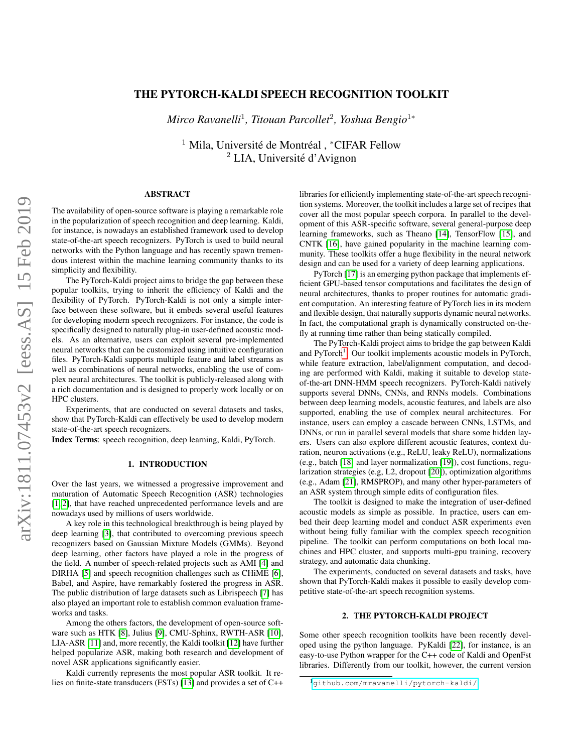# arXiv:1811.07453v2 [eess.AS] 15 Feb 2019 arXiv:1811.07453v2 [eess.AS] 15 Feb 2019

# THE PYTORCH-KALDI SPEECH RECOGNITION TOOLKIT

*Mirco Ravanelli*<sup>1</sup> *, Titouan Parcollet*<sup>2</sup> *, Yoshua Bengio*<sup>1</sup><sup>∗</sup>

 $<sup>1</sup>$  Mila, Université de Montréal, \*CIFAR Fellow</sup>  $2$  LIA, Université d'Avignon

# ABSTRACT

The availability of open-source software is playing a remarkable role in the popularization of speech recognition and deep learning. Kaldi, for instance, is nowadays an established framework used to develop state-of-the-art speech recognizers. PyTorch is used to build neural networks with the Python language and has recently spawn tremendous interest within the machine learning community thanks to its simplicity and flexibility.

The PyTorch-Kaldi project aims to bridge the gap between these popular toolkits, trying to inherit the efficiency of Kaldi and the flexibility of PyTorch. PyTorch-Kaldi is not only a simple interface between these software, but it embeds several useful features for developing modern speech recognizers. For instance, the code is specifically designed to naturally plug-in user-defined acoustic models. As an alternative, users can exploit several pre-implemented neural networks that can be customized using intuitive configuration files. PyTorch-Kaldi supports multiple feature and label streams as well as combinations of neural networks, enabling the use of complex neural architectures. The toolkit is publicly-released along with a rich documentation and is designed to properly work locally or on HPC clusters.

Experiments, that are conducted on several datasets and tasks, show that PyTorch-Kaldi can effectively be used to develop modern state-of-the-art speech recognizers.

Index Terms: speech recognition, deep learning, Kaldi, PyTorch.

### 1. INTRODUCTION

Over the last years, we witnessed a progressive improvement and maturation of Automatic Speech Recognition (ASR) technologies [\[1,](#page-3-0) [2\]](#page-3-1), that have reached unprecedented performance levels and are nowadays used by millions of users worldwide.

A key role in this technological breakthrough is being played by deep learning [\[3\]](#page-4-0), that contributed to overcoming previous speech recognizers based on Gaussian Mixture Models (GMMs). Beyond deep learning, other factors have played a role in the progress of the field. A number of speech-related projects such as AMI [\[4\]](#page-4-1) and DIRHA [\[5\]](#page-4-2) and speech recognition challenges such as CHiME [\[6\]](#page-4-3), Babel, and Aspire, have remarkably fostered the progress in ASR. The public distribution of large datasets such as Librispeech [\[7\]](#page-4-4) has also played an important role to establish common evaluation frameworks and tasks.

Among the others factors, the development of open-source software such as HTK [\[8\]](#page-4-5), Julius [\[9\]](#page-4-6), CMU-Sphinx, RWTH-ASR [\[10\]](#page-4-7), LIA-ASR [\[11\]](#page-4-8) and, more recently, the Kaldi toolkit [\[12\]](#page-4-9) have further helped popularize ASR, making both research and development of novel ASR applications significantly easier.

Kaldi currently represents the most popular ASR toolkit. It relies on finite-state transducers (FSTs) [\[13\]](#page-4-10) and provides a set of C++ libraries for efficiently implementing state-of-the-art speech recognition systems. Moreover, the toolkit includes a large set of recipes that cover all the most popular speech corpora. In parallel to the development of this ASR-specific software, several general-purpose deep learning frameworks, such as Theano [\[14\]](#page-4-11), TensorFlow [\[15\]](#page-4-12), and CNTK [\[16\]](#page-4-13), have gained popularity in the machine learning community. These toolkits offer a huge flexibility in the neural network design and can be used for a variety of deep learning applications.

PyTorch [\[17\]](#page-4-14) is an emerging python package that implements efficient GPU-based tensor computations and facilitates the design of neural architectures, thanks to proper routines for automatic gradient computation. An interesting feature of PyTorch lies in its modern and flexible design, that naturally supports dynamic neural networks. In fact, the computational graph is dynamically constructed on-thefly at running time rather than being statically compiled.

The PyTorch-Kaldi project aims to bridge the gap between Kaldi and PyTorch<sup>[1](#page-0-0)</sup>. Our toolkit implements acoustic models in PyTorch, while feature extraction, label/alignment computation, and decoding are performed with Kaldi, making it suitable to develop stateof-the-art DNN-HMM speech recognizers. PyTorch-Kaldi natively supports several DNNs, CNNs, and RNNs models. Combinations between deep learning models, acoustic features, and labels are also supported, enabling the use of complex neural architectures. For instance, users can employ a cascade between CNNs, LSTMs, and DNNs, or run in parallel several models that share some hidden layers. Users can also explore different acoustic features, context duration, neuron activations (e.g., ReLU, leaky ReLU), normalizations (e.g., batch [\[18\]](#page-4-15) and layer normalization [\[19\]](#page-4-16)), cost functions, regularization strategies (e.g, L2, dropout [\[20\]](#page-4-17)), optimization algorithms (e.g., Adam [\[21\]](#page-4-18), RMSPROP), and many other hyper-parameters of an ASR system through simple edits of configuration files.

The toolkit is designed to make the integration of user-defined acoustic models as simple as possible. In practice, users can embed their deep learning model and conduct ASR experiments even without being fully familiar with the complex speech recognition pipeline. The toolkit can perform computations on both local machines and HPC cluster, and supports multi-gpu training, recovery strategy, and automatic data chunking.

The experiments, conducted on several datasets and tasks, have shown that PyTorch-Kaldi makes it possible to easily develop competitive state-of-the-art speech recognition systems.

### 2. THE PYTORCH-KALDI PROJECT

Some other speech recognition toolkits have been recently developed using the python language. PyKaldi [\[22\]](#page-4-19), for instance, is an easy-to-use Python wrapper for the C++ code of Kaldi and OpenFst libraries. Differently from our toolkit, however, the current version

<span id="page-0-0"></span><sup>1</sup><github.com/mravanelli/pytorch-kaldi/>.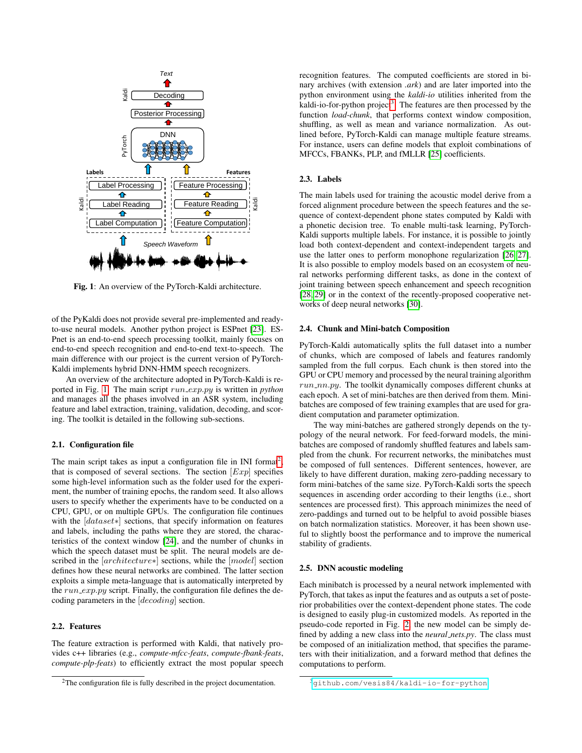<span id="page-1-0"></span>

Fig. 1: An overview of the PyTorch-Kaldi architecture.

of the PyKaldi does not provide several pre-implemented and readyto-use neural models. Another python project is ESPnet [\[23\]](#page-4-20). ES-Pnet is an end-to-end speech processing toolkit, mainly focuses on end-to-end speech recognition and end-to-end text-to-speech. The main difference with our project is the current version of PyTorch-Kaldi implements hybrid DNN-HMM speech recognizers.

An overview of the architecture adopted in PyTorch-Kaldi is reported in Fig. [1.](#page-1-0) The main script run exp.py is written in *python* and manages all the phases involved in an ASR system, including feature and label extraction, training, validation, decoding, and scoring. The toolkit is detailed in the following sub-sections.

# 2.1. Configuration file

The main script takes as input a configuration file in INI format<sup>[2](#page-1-1)</sup>, that is composed of several sections. The section  $[Exp]$  specifies some high-level information such as the folder used for the experiment, the number of training epochs, the random seed. It also allows users to specify whether the experiments have to be conducted on a CPU, GPU, or on multiple GPUs. The configuration file continues with the [dataset<sup>\*</sup>] sections, that specify information on features and labels, including the paths where they are stored, the characteristics of the context window [\[24\]](#page-4-21), and the number of chunks in which the speech dataset must be split. The neural models are described in the [architecture∗] sections, while the [model] section defines how these neural networks are combined. The latter section exploits a simple meta-language that is automatically interpreted by the  $run\_exp.py$  script. Finally, the configuration file defines the decoding parameters in the [decoding] section.

# 2.2. Features

The feature extraction is performed with Kaldi, that natively provides c++ libraries (e.g., *compute-mfcc-feats*, *compute-fbank-feats*, *compute-plp-feats*) to efficiently extract the most popular speech recognition features. The computed coefficients are stored in binary archives (with extension *.ark*) and are later imported into the python environment using the *kaldi-io* utilities inherited from the kaldi-io-for-python project<sup>[3](#page-1-2)</sup>. The features are then processed by the function *load-chunk*, that performs context window composition, shuffling, as well as mean and variance normalization. As outlined before, PyTorch-Kaldi can manage multiple feature streams. For instance, users can define models that exploit combinations of MFCCs, FBANKs, PLP, and fMLLR [\[25\]](#page-4-22) coefficients.

### 2.3. Labels

The main labels used for training the acoustic model derive from a forced alignment procedure between the speech features and the sequence of context-dependent phone states computed by Kaldi with a phonetic decision tree. To enable multi-task learning, PyTorch-Kaldi supports multiple labels. For instance, it is possible to jointly load both context-dependent and context-independent targets and use the latter ones to perform monophone regularization [\[26,](#page-4-23) [27\]](#page-4-24). It is also possible to employ models based on an ecosystem of neural networks performing different tasks, as done in the context of joint training between speech enhancement and speech recognition [\[28,](#page-4-25) [29\]](#page-4-26) or in the context of the recently-proposed cooperative networks of deep neural networks [\[30\]](#page-4-27).

### 2.4. Chunk and Mini-batch Composition

PyTorch-Kaldi automatically splits the full dataset into a number of chunks, which are composed of labels and features randomly sampled from the full corpus. Each chunk is then stored into the GPU or CPU memory and processed by the neural training algorithm  $run_{.}$ nn.py. The toolkit dynamically composes different chunks at each epoch. A set of mini-batches are then derived from them. Minibatches are composed of few training examples that are used for gradient computation and parameter optimization.

The way mini-batches are gathered strongly depends on the typology of the neural network. For feed-forward models, the minibatches are composed of randomly shuffled features and labels sampled from the chunk. For recurrent networks, the minibatches must be composed of full sentences. Different sentences, however, are likely to have different duration, making zero-padding necessary to form mini-batches of the same size. PyTorch-Kaldi sorts the speech sequences in ascending order according to their lengths (i.e., short sentences are processed first). This approach minimizes the need of zero-paddings and turned out to be helpful to avoid possible biases on batch normalization statistics. Moreover, it has been shown useful to slightly boost the performance and to improve the numerical stability of gradients.

### 2.5. DNN acoustic modeling

Each minibatch is processed by a neural network implemented with PyTorch, that takes as input the features and as outputs a set of posterior probabilities over the context-dependent phone states. The code is designed to easily plug-in customized models. As reported in the pseudo-code reported in Fig. [2,](#page-2-0) the new model can be simply defined by adding a new class into the *neural nets.py*. The class must be composed of an initialization method, that specifies the parameters with their initialization, and a forward method that defines the computations to perform.

<span id="page-1-1"></span><sup>&</sup>lt;sup>2</sup>The configuration file is fully described in the project documentation.

<span id="page-1-2"></span><sup>3</sup><github.com/vesis84/kaldi-io-for-python>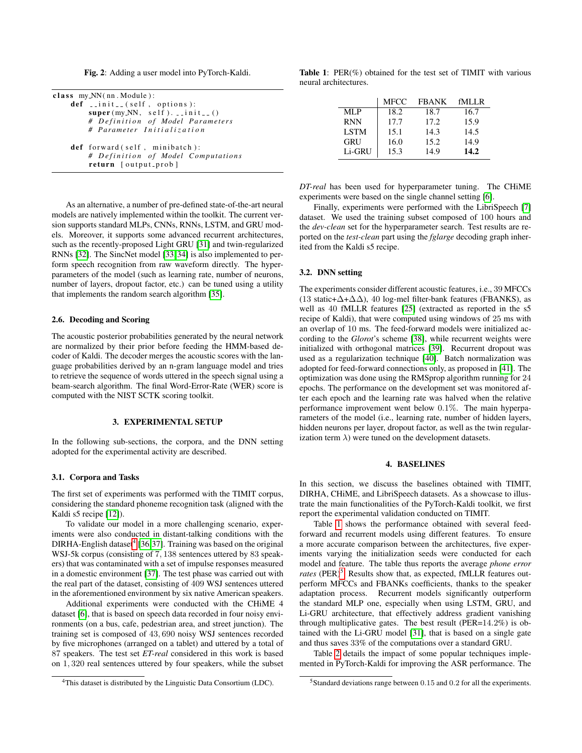Fig. 2: Adding a user model into PyTorch-Kaldi.

| class $my_N(N(nn \cdot Module))$ :<br>$def$ $\_\_init\_\_ (self$ , options):<br>$super(my_NN, self)$ . $= init = ()$<br># Definition of Model Parameters<br># Parameter Initialization |
|----------------------------------------------------------------------------------------------------------------------------------------------------------------------------------------|
| def forward (self, minibatch):<br># Definition of Model Computations<br>return [output_prob]                                                                                           |

<span id="page-2-2"></span>**Table 1:**  $PER(\%)$  obtained for the test set of TIMIT with various neural architectures.

|             | MFCC | <b>FBANK</b> | fMLLR |
|-------------|------|--------------|-------|
| <b>MLP</b>  | 18.2 | 18.7         | 16.7  |
| <b>RNN</b>  | 17.7 | 17.2.        | 15.9  |
| <b>LSTM</b> | 15.1 | 14.3         | 14.5  |
| <b>GRU</b>  | 16.0 | 15.2         | 14.9  |
| Li-GRU      | 15.3 | 14.9         | 14.2  |

<span id="page-2-0"></span>As an alternative, a number of pre-defined state-of-the-art neural models are natively implemented within the toolkit. The current version supports standard MLPs, CNNs, RNNs, LSTM, and GRU models. Moreover, it supports some advanced recurrent architectures, such as the recently-proposed Light GRU [\[31\]](#page-4-28) and twin-regularized RNNs [\[32\]](#page-4-29). The SincNet model [\[33,](#page-4-30) [34\]](#page-4-31) is also implemented to perform speech recognition from raw waveform directly. The hyperparameters of the model (such as learning rate, number of neurons, number of layers, dropout factor, etc.) can be tuned using a utility that implements the random search algorithm [\[35\]](#page-4-32).

### 2.6. Decoding and Scoring

The acoustic posterior probabilities generated by the neural network are normalized by their prior before feeding the HMM-based decoder of Kaldi. The decoder merges the acoustic scores with the language probabilities derived by an n-gram language model and tries to retrieve the sequence of words uttered in the speech signal using a beam-search algorithm. The final Word-Error-Rate (WER) score is computed with the NIST SCTK scoring toolkit.

## 3. EXPERIMENTAL SETUP

In the following sub-sections, the corpora, and the DNN setting adopted for the experimental activity are described.

### 3.1. Corpora and Tasks

The first set of experiments was performed with the TIMIT corpus, considering the standard phoneme recognition task (aligned with the Kaldi s5 recipe [\[12\]](#page-4-9)).

To validate our model in a more challenging scenario, experiments were also conducted in distant-talking conditions with the DIRHA-English dataset<sup>[4](#page-2-1)</sup> [\[36,](#page-4-33)[37\]](#page-4-34). Training was based on the original WSJ-5k corpus (consisting of 7, 138 sentences uttered by 83 speakers) that was contaminated with a set of impulse responses measured in a domestic environment [\[37\]](#page-4-34). The test phase was carried out with the real part of the dataset, consisting of 409 WSJ sentences uttered in the aforementioned environment by six native American speakers.

Additional experiments were conducted with the CHiME 4 dataset [\[6\]](#page-4-3), that is based on speech data recorded in four noisy environments (on a bus, cafe, pedestrian area, and street junction). The training set is composed of 43, 690 noisy WSJ sentences recorded by five microphones (arranged on a tablet) and uttered by a total of 87 speakers. The test set *ET-real* considered in this work is based on 1, 320 real sentences uttered by four speakers, while the subset *DT-real* has been used for hyperparameter tuning. The CHiME experiments were based on the single channel setting [\[6\]](#page-4-3).

Finally, experiments were performed with the LibriSpeech [\[7\]](#page-4-4) dataset. We used the training subset composed of 100 hours and the *dev-clean* set for the hyperparameter search. Test results are reported on the *test-clean* part using the *fglarge* decoding graph inherited from the Kaldi s5 recipe.

## 3.2. DNN setting

The experiments consider different acoustic features, i.e., 39 MFCCs (13 static+ $\Delta$ + $\Delta$  $\Delta$ ), 40 log-mel filter-bank features (FBANKS), as well as 40 fMLLR features [\[25\]](#page-4-22) (extracted as reported in the s5 recipe of Kaldi), that were computed using windows of 25 ms with an overlap of 10 ms. The feed-forward models were initialized according to the *Glorot*'s scheme [\[38\]](#page-4-35), while recurrent weights were initialized with orthogonal matrices [\[39\]](#page-4-36). Recurrent dropout was used as a regularization technique [\[40\]](#page-4-37). Batch normalization was adopted for feed-forward connections only, as proposed in [\[41\]](#page-4-38). The optimization was done using the RMSprop algorithm running for 24 epochs. The performance on the development set was monitored after each epoch and the learning rate was halved when the relative performance improvement went below 0.1%. The main hyperparameters of the model (i.e., learning rate, number of hidden layers, hidden neurons per layer, dropout factor, as well as the twin regularization term  $\lambda$ ) were tuned on the development datasets.

### 4. BASELINES

In this section, we discuss the baselines obtained with TIMIT, DIRHA, CHiME, and LibriSpeech datasets. As a showcase to illustrate the main functionalities of the PyTorch-Kaldi toolkit, we first report the experimental validation conducted on TIMIT.

Table [1](#page-2-2) shows the performance obtained with several feedforward and recurrent models using different features. To ensure a more accurate comparison between the architectures, five experiments varying the initialization seeds were conducted for each model and feature. The table thus reports the average *phone error* rates (PER)<sup>[5](#page-2-3)</sup>. Results show that, as expected, fMLLR features outperform MFCCs and FBANKs coefficients, thanks to the speaker adaptation process. Recurrent models significantly outperform the standard MLP one, especially when using LSTM, GRU, and Li-GRU architecture, that effectively address gradient vanishing through multiplicative gates. The best result (PER=14.2%) is obtained with the Li-GRU model [\[31\]](#page-4-28), that is based on a single gate and thus saves 33% of the computations over a standard GRU.

Table [2](#page-3-2) details the impact of some popular techniques implemented in PyTorch-Kaldi for improving the ASR performance. The

<span id="page-2-1"></span><sup>&</sup>lt;sup>4</sup>This dataset is distributed by the Linguistic Data Consortium (LDC).

<span id="page-2-3"></span> $5$ Standard deviations range between 0.15 and 0.2 for all the experiments.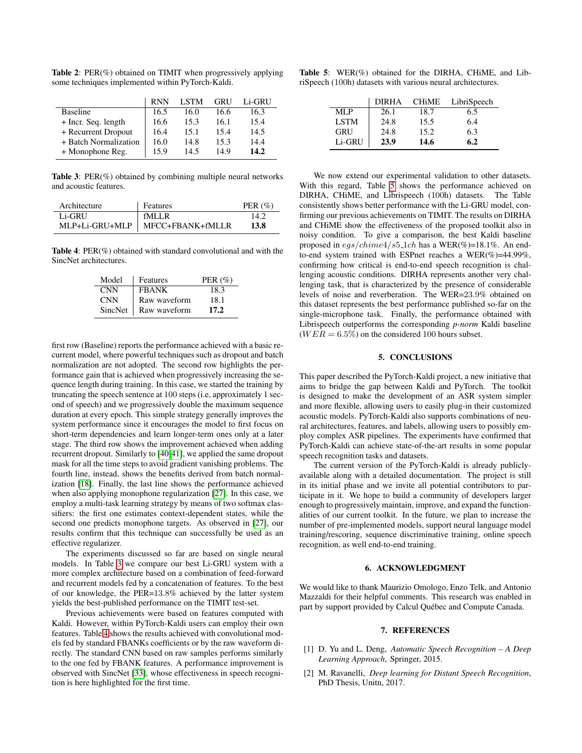|                       | <b>RNN</b> | <b>LSTM</b> | GRU  | Li-GRU |
|-----------------------|------------|-------------|------|--------|
| <b>Baseline</b>       | 16.5       | 16.0        | 16.6 | 16.3   |
| + Incr. Seq. length   | 16.6       | 15.3        | 16.1 | 15.4   |
| + Recurrent Dropout   | 16.4       | 15.1        | 15.4 | 14.5   |
| + Batch Normalization | 16.0       | 14.8        | 15.3 | 14.4   |
| + Monophone Reg.      | 15.9       | 14.5        | 14.9 | 14.2   |

<span id="page-3-2"></span>Table 2: PER(%) obtained on TIMIT when progressively applying some techniques implemented within PyTorch-Kaldi.

<span id="page-3-3"></span>Table 3: PER(%) obtained by combining multiple neural networks and acoustic features.

| Architecture | Features                          | PER $(\%)$ |
|--------------|-----------------------------------|------------|
| Li-GRU       | fMLLR                             | 14 2       |
|              | MLP+Li-GRU+MLP   MFCC+FBANK+fMLLR | 13.8       |

<span id="page-3-4"></span>**Table 4:**  $PER(\%)$  obtained with standard convolutional and with the SincNet architectures.

| Model      | Features               | PER $(\% )$ |
|------------|------------------------|-------------|
| <b>CNN</b> | <b>FBANK</b>           | 18.3        |
| <b>CNN</b> | Raw waveform           | 18.1        |
|            | SincNet   Raw waveform | 17.2        |

first row (Baseline) reports the performance achieved with a basic recurrent model, where powerful techniques such as dropout and batch normalization are not adopted. The second row highlights the performance gain that is achieved when progressively increasing the sequence length during training. In this case, we started the training by truncating the speech sentence at 100 steps (i.e, approximately 1 second of speech) and we progressively double the maximum sequence duration at every epoch. This simple strategy generally improves the system performance since it encourages the model to first focus on short-term dependencies and learn longer-term ones only at a later stage. The third row shows the improvement achieved when adding recurrent dropout. Similarly to [\[40,](#page-4-37)[41\]](#page-4-38), we applied the same dropout mask for all the time steps to avoid gradient vanishing problems. The fourth line, instead, shows the benefits derived from batch normalization [\[18\]](#page-4-15). Finally, the last line shows the performance achieved when also applying monophone regularization [\[27\]](#page-4-24). In this case, we employ a multi-task learning strategy by means of two softmax classifiers: the first one estimates context-dependent states, while the second one predicts monophone targets. As observed in [\[27\]](#page-4-24), our results confirm that this technique can successfully be used as an effective regularizer.

The experiments discussed so far are based on single neural models. In Table [3](#page-3-3) we compare our best Li-GRU system with a more complex architecture based on a combination of feed-forward and recurrent models fed by a concatenation of features. To the best of our knowledge, the PER=13.8% achieved by the latter system yields the best-published performance on the TIMIT test-set.

Previous achievements were based on features computed with Kaldi. However, within PyTorch-Kaldi users can employ their own features. Table [4](#page-3-4) shows the results achieved with convolutional models fed by standard FBANKs coefficients or by the raw waveform directly. The standard CNN based on raw samples performs similarly to the one fed by FBANK features. A performance improvement is observed with SincNet [\[33\]](#page-4-30), whose effectiveness in speech recognition is here highlighted for the first time.

<span id="page-3-5"></span>Table 5: WER(%) obtained for the DIRHA, CHiME, and LibriSpeech (100h) datasets with various neural architectures.

|             | <b>DIRHA</b> | <b>CHIME</b> | LibriSpeech |
|-------------|--------------|--------------|-------------|
| ML P        | 26.1         | 18.7         | 6.5         |
| <b>LSTM</b> | 24.8         | 15.5         | 6.4         |
| GRU         | 24.8         | 15.2         | 6.3         |
| Li-GRU      | 23.9         | 14.6         | 6.2         |

We now extend our experimental validation to other datasets. With this regard, Table [5](#page-3-5) shows the performance achieved on DIRHA, CHiME, and Librispeech (100h) datasets. The Table consistently shows better performance with the Li-GRU model, confirming our previous achievements on TIMIT. The results on DIRHA and CHiME show the effectiveness of the proposed toolkit also in noisy condition. To give a comparison, the best Kaldi baseline proposed in egs/chime4/s5 1ch has a WER(%)=18.1%. An endto-end system trained with ESPnet reaches a WER(%)=44.99%, confirming how critical is end-to-end speech recognition is challenging acoustic conditions. DIRHA represents another very challenging task, that is characterized by the presence of considerable levels of noise and reverberation. The WER=23.9% obtained on this dataset represents the best performance published so-far on the single-microphone task. Finally, the performance obtained with Librispeech outperforms the corresponding *p-norm* Kaldi baseline  $(WER = 6.5\%)$  on the considered 100 hours subset.

### 5. CONCLUSIONS

This paper described the PyTorch-Kaldi project, a new initiative that aims to bridge the gap between Kaldi and PyTorch. The toolkit is designed to make the development of an ASR system simpler and more flexible, allowing users to easily plug-in their customized acoustic models. PyTorch-Kaldi also supports combinations of neural architectures, features, and labels, allowing users to possibly employ complex ASR pipelines. The experiments have confirmed that PyTorch-Kaldi can achieve state-of-the-art results in some popular speech recognition tasks and datasets.

The current version of the PyTorch-Kaldi is already publiclyavailable along with a detailed documentation. The project is still in its initial phase and we invite all potential contributors to participate in it. We hope to build a community of developers larger enough to progressively maintain, improve, and expand the functionalities of our current toolkit. In the future, we plan to increase the number of pre-implemented models, support neural language model training/rescoring, sequence discriminative training, online speech recognition, as well end-to-end training.

### 6. ACKNOWLEDGMENT

We would like to thank Maurizio Omologo, Enzo Telk, and Antonio Mazzaldi for their helpful comments. This research was enabled in part by support provided by Calcul Québec and Compute Canada.

### 7. REFERENCES

- <span id="page-3-0"></span>[1] D. Yu and L. Deng, *Automatic Speech Recognition – A Deep Learning Approach*, Springer, 2015.
- <span id="page-3-1"></span>[2] M. Ravanelli, *Deep learning for Distant Speech Recognition*, PhD Thesis, Unitn, 2017.